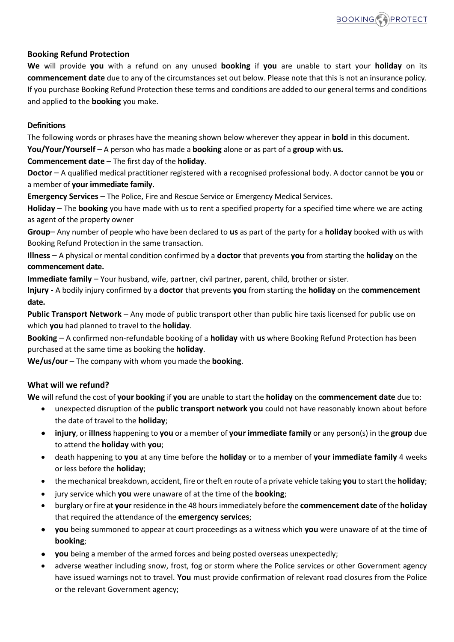## **Booking Refund Protection**

**We** will provide **you** with a refund on any unused **booking** if **you** are unable to start your **holiday** on its **commencement date** due to any of the circumstances set out below. Please note that this is not an insurance policy. If you purchase Booking Refund Protection these terms and conditions are added to our general terms and conditions and applied to the **booking** you make.

#### **Definitions**

The following words or phrases have the meaning shown below wherever they appear in **bold** in this document.

**You/Your/Yourself** – A person who has made a **booking** alone or as part of a **group** with **us.**

**Commencement date** – The first day of the **holiday**.

**Doctor** – A qualified medical practitioner registered with a recognised professional body. A doctor cannot be **you** or a member of **your immediate family.**

**Emergency Services** – The Police, Fire and Rescue Service or Emergency Medical Services.

**Holiday** – The **booking** you have made with us to rent a specified property for a specified time where we are acting as agent of the property owner

**Group**– Any number of people who have been declared to **us** as part of the party for a **holiday** booked with us with Booking Refund Protection in the same transaction.

**Illness** – A physical or mental condition confirmed by a **doctor** that prevents **you** from starting the **holiday** on the **commencement date.**

**Immediate family** – Your husband, wife, partner, civil partner, parent, child, brother or sister.

**Injury -** A bodily injury confirmed by a **doctor** that prevents **you** from starting the **holiday** on the **commencement date.**

**Public Transport Network** – Any mode of public transport other than public hire taxis licensed for public use on which **you** had planned to travel to the **holiday**.

**Booking** – A confirmed non-refundable booking of a **holiday** with **us** where Booking Refund Protection has been purchased at the same time as booking the **holiday**.

**We/us/our** – The company with whom you made the **booking**.

# **What will we refund?**

**We** will refund the cost of **your booking** if **you** are unable to start the **holiday** on the **commencement date** due to:

- unexpected disruption of the **public transport network you** could not have reasonably known about before the date of travel to the **holiday**;
- **injury**, or **illness** happening to **you** or a member of **your immediate family** or any person(s) in the **group** due to attend the **holiday** with **you**;
- death happening to **you** at any time before the **holiday** or to a member of **your immediate family** 4 weeks or less before the **holiday**;
- the mechanical breakdown, accident, fire or theft en route of a private vehicle taking **you** to start the **holiday**;
- jury service which **you** were unaware of at the time of the **booking**;
- burglary or fire at **your** residence in the 48 hours immediately before the **commencement date** of the **holiday**  that required the attendance of the **emergency services**;
- **you** being summoned to appear at court proceedings as a witness which **you** were unaware of at the time of **booking**;
- **you** being a member of the armed forces and being posted overseas unexpectedly;
- adverse weather including snow, frost, fog or storm where the Police services or other Government agency have issued warnings not to travel. **You** must provide confirmation of relevant road closures from the Police or the relevant Government agency;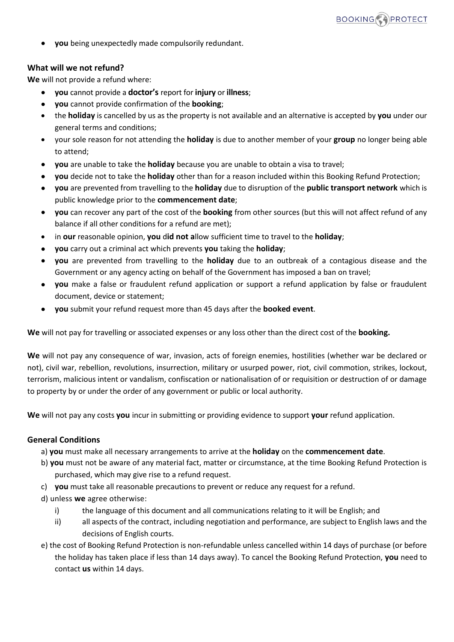• **you** being unexpectedly made compulsorily redundant.

# **What will we not refund?**

**We** will not provide a refund where:

- **you** cannot provide a **doctor's** report for **injury** or **illness**;
- **you** cannot provide confirmation of the **booking**;
- the **holiday** is cancelled by us as the property is not available and an alternative is accepted by **you** under our general terms and conditions;
- your sole reason for not attending the **holiday** is due to another member of your **group** no longer being able to attend;
- **you** are unable to take the **holiday** because you are unable to obtain a visa to travel;
- **you** decide not to take the **holiday** other than for a reason included within this Booking Refund Protection;
- **you** are prevented from travelling to the **holiday** due to disruption of the **public transport network** which is public knowledge prior to the **commencement date**;
- **you** can recover any part of the cost of the **booking** from other sources (but this will not affect refund of any balance if all other conditions for a refund are met);
- in **our** reasonable opinion, **you** d**id not a**llow sufficient time to travel to the **holiday**;
- **you** carry out a criminal act which prevents **you** taking the **holiday**;
- **you** are prevented from travelling to the **holiday** due to an outbreak of a contagious disease and the Government or any agency acting on behalf of the Government has imposed a ban on travel;
- **you** make a false or fraudulent refund application or support a refund application by false or fraudulent document, device or statement;
- **you** submit your refund request more than 45 days after the **booked event**.

**We** will not pay for travelling or associated expenses or any loss other than the direct cost of the **booking.**

**We** will not pay any consequence of war, invasion, acts of foreign enemies, hostilities (whether war be declared or not), civil war, rebellion, revolutions, insurrection, military or usurped power, riot, civil commotion, strikes, lockout, terrorism, malicious intent or vandalism, confiscation or nationalisation of or requisition or destruction of or damage to property by or under the order of any government or public or local authority.

**We** will not pay any costs **you** incur in submitting or providing evidence to support **your** refund application.

# **General Conditions**

a) **you** must make all necessary arrangements to arrive at the **holiday** on the **commencement date**.

- b) **you** must not be aware of any material fact, matter or circumstance, at the time Booking Refund Protection is purchased, which may give rise to a refund request.
- c) **you** must take all reasonable precautions to prevent or reduce any request for a refund.
- d) unless **we** agree otherwise:
	- i) the language of this document and all communications relating to it will be English; and
	- ii) all aspects of the contract, including negotiation and performance, are subject to English laws and the decisions of English courts.
- e) the cost of Booking Refund Protection is non-refundable unless cancelled within 14 days of purchase (or before the holiday has taken place if less than 14 days away). To cancel the Booking Refund Protection, **you** need to contact **us** within 14 days.